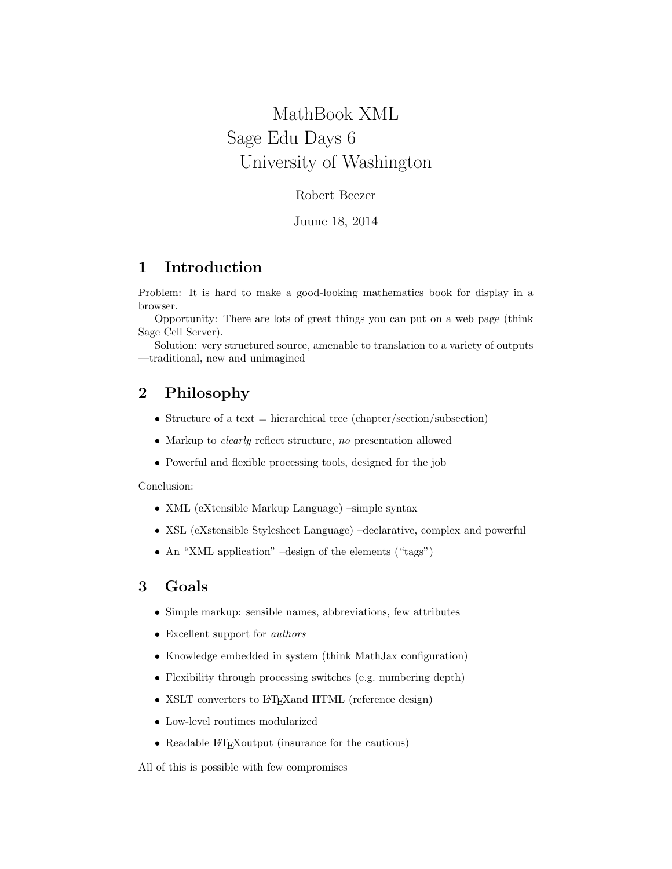# <span id="page-0-0"></span>MathBook XML Sage Edu Days 6 University of Washington

Robert Beezer

Juune 18, 2014

# 1 Introduction

Problem: It is hard to make a good-looking mathematics book for display in a browser.

Opportunity: There are lots of great things you can put on a web page (think Sage Cell Server).

Solution: very structured source, amenable to translation to a variety of outputs —traditional, new and unimagined

# 2 Philosophy

- Structure of a text  $=$  hierarchical tree (chapter/section/subsection)
- Markup to *clearly* reflect structure, no presentation allowed
- Powerful and flexible processing tools, designed for the job

Conclusion:

- XML (eXtensible Markup Language) –simple syntax
- XSL (eXstensible Stylesheet Language) –declarative, complex and powerful
- An "XML application" –design of the elements ("tags")

## 3 Goals

- Simple markup: sensible names, abbreviations, few attributes
- Excellent support for authors
- Knowledge embedded in system (think MathJax configuration)
- Flexibility through processing switches (e.g. numbering depth)
- XSLT converters to L<sup>AT</sup>FX and HTML (reference design)
- Low-level routimes modularized
- Readable LAT<sub>E</sub>Xoutput (insurance for the cautious)

All of this is possible with few compromises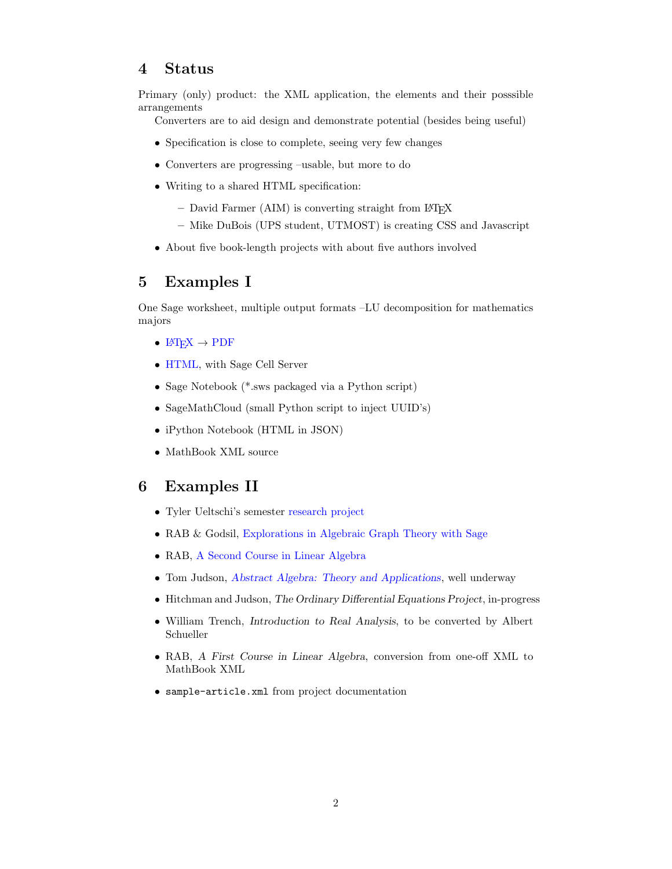#### 4 Status

Primary (only) product: the XML application, the elements and their posssible arrangements

Converters are to aid design and demonstrate potential (besides being useful)

- Specification is close to complete, seeing very few changes
- Converters are progressing –usable, but more to do
- Writing to a shared HTML specification:
	- $-$  David Farmer (AIM) is converting straight from LATEX
	- Mike DuBois (UPS student, UTMOST) is creating CSS and Javascript
- About five book-length projects with about five authors involved

### 5 Examples I

One Sage worksheet, multiple output formats –LU decomposition for mathematics majors

- $\mathbb{F} F X \to \mathbb{P} \mathbb{D} F$
- [HTML,](./demo/LU-demo.html) with Sage Cell Server
- Sage Notebook (\*.sws packaged via a Python script)
- SageMathCloud (small Python script to inject UUID's)
- iPython Notebook (HTML in JSON)
- MathBook XML source

#### 6 Examples II

- Tyler Ueltschi's semester [research project](http://mathbook.pugetsound.edu/tyleru/quantum-chemistry.html)
- RAB & Godsil, [Explorations in Algebraic Graph Theory with Sage](http://linear.ups.edu/eagts)
- RAB, [A Second Course in Linear Algebra](http://linear.pugetsound.edu/scla/html/scla.html)
- Tom Judson, [Abstract Algebra: Theory and Applications](./aata/index.html), well underway
- Hitchman and Judson, The Ordinary Differential Equations Project, in-progress
- William Trench, Introduction to Real Analysis, to be converted by Albert Schueller
- RAB, A First Course in Linear Algebra, conversion from one-off XML to MathBook XML
- sample-article.xml from project documentation